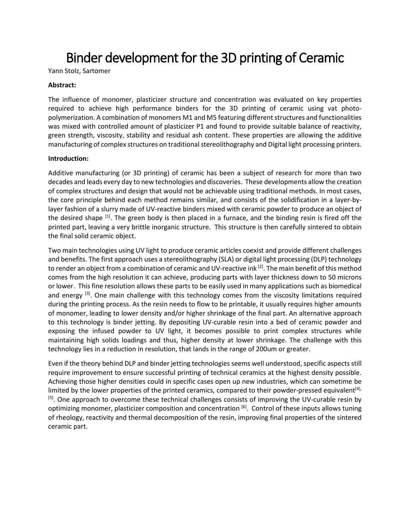# Binder development for the 3D printing of Ceramic

Yann Stolz, Sartomer

### **Abstract:**

The influence of monomer, plasticizer structure and concentration was evaluated on key properties required to achieve high performance binders for the 3D printing of ceramic using vat photopolymerization. A combination of monomers M1 and M5 featuring different structures and functionalities was mixed with controlled amount of plasticizer P1 and found to provide suitable balance of reactivity, green strength, viscosity, stability and residual ash content. These properties are allowing the additive manufacturing of complex structures on traditional stereolithography and Digital light processing printers.

### **Introduction:**

Additive manufacturing (or 3D printing) of ceramic has been a subject of research for more than two decades and leads every day to new technologies and discoveries. These developments allow the creation of complex structures and design that would not be achievable using traditional methods. In most cases, the core principle behind each method remains similar, and consists of the solidification in a layer-bylayer fashion of a slurry made of UV-reactive binders mixed with ceramic powder to produce an object of the desired shape <sup>[1]</sup>. The green body is then placed in a furnace, and the binding resin is fired off the printed part, leaving a very brittle inorganic structure. This structure is then carefully sintered to obtain the final solid ceramic object.

Two main technologies using UV light to produce ceramic articles coexist and provide different challenges and benefits. The first approach uses a stereolithography (SLA) or digital light processing (DLP) technology to render an object from a combination of ceramic and UV-reactive ink <sup>[2]</sup>. The main benefit of this method comes from the high resolution it can achieve, producing parts with layer thickness down to 50 microns or lower. This fine resolution allows these parts to be easily used in many applications such as biomedical and energy <sup>[3]</sup>. One main challenge with this technology comes from the viscosity limitations required during the printing process. As the resin needs to flow to be printable, it usually requires higher amounts of monomer, leading to lower density and/or higher shrinkage of the final part. An alternative approach to this technology is binder jetting. By depositing UV-curable resin into a bed of ceramic powder and exposing the infused powder to UV light, it becomes possible to print complex structures while maintaining high solids loadings and thus, higher density at lower shrinkage. The challenge with this technology lies in a reduction in resolution, that lands in the range of 200um or greater.

Even if the theory behind DLP and binder jetting technologies seems well understood, specific aspects still require improvement to ensure successful printing of technical ceramics at the highest density possible. Achieving those higher densities could in specific cases open up new industries, which can sometime be limited by the lower properties of the printed ceramics, compared to their powder-pressed equivalent<sup>[4],</sup> [5]. One approach to overcome these technical challenges consists of improving the UV-curable resin by optimizing monomer, plasticizer composition and concentration <sup>[6]</sup>. Control of these inputs allows tuning of rheology, reactivity and thermal decomposition of the resin, improving final properties of the sintered ceramic part.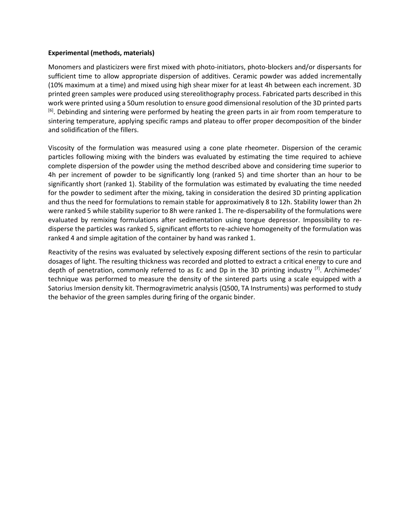#### **Experimental (methods, materials)**

Monomers and plasticizers were first mixed with photo-initiators, photo-blockers and/or dispersants for sufficient time to allow appropriate dispersion of additives. Ceramic powder was added incrementally (10% maximum at a time) and mixed using high shear mixer for at least 4h between each increment. 3D printed green samples were produced using stereolithography process. Fabricated parts described in this work were printed using a 50um resolution to ensure good dimensional resolution of the 3D printed parts <sup>[6]</sup>. Debinding and sintering were performed by heating the green parts in air from room temperature to sintering temperature, applying specific ramps and plateau to offer proper decomposition of the binder and solidification of the fillers.

Viscosity of the formulation was measured using a cone plate rheometer. Dispersion of the ceramic particles following mixing with the binders was evaluated by estimating the time required to achieve complete dispersion of the powder using the method described above and considering time superior to 4h per increment of powder to be significantly long (ranked 5) and time shorter than an hour to be significantly short (ranked 1). Stability of the formulation was estimated by evaluating the time needed for the powder to sediment after the mixing, taking in consideration the desired 3D printing application and thus the need for formulations to remain stable for approximatively 8 to 12h. Stability lower than 2h were ranked 5 while stability superior to 8h were ranked 1. The re-dispersability of the formulations were evaluated by remixing formulations after sedimentation using tongue depressor. Impossibility to redisperse the particles was ranked 5, significant efforts to re-achieve homogeneity of the formulation was ranked 4 and simple agitation of the container by hand was ranked 1.

Reactivity of the resins was evaluated by selectively exposing different sections of the resin to particular dosages of light. The resulting thickness was recorded and plotted to extract a critical energy to cure and depth of penetration, commonly referred to as Ec and Dp in the 3D printing industry <sup>[7]</sup>. Archimedes' technique was performed to measure the density of the sintered parts using a scale equipped with a Satorius Imersion density kit. Thermogravimetric analysis (Q500, TA Instruments) was performed to study the behavior of the green samples during firing of the organic binder.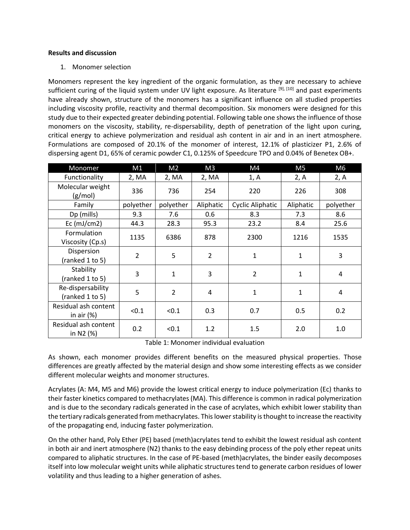### **Results and discussion**

1. Monomer selection

Monomers represent the key ingredient of the organic formulation, as they are necessary to achieve sufficient curing of the liquid system under UV light exposure. As literature [9], [10] and past experiments have already shown, structure of the monomers has a significant influence on all studied properties including viscosity profile, reactivity and thermal decomposition. Six monomers were designed for this study due to their expected greater debinding potential. Following table one shows the influence of those monomers on the viscosity, stability, re-dispersability, depth of penetration of the light upon curing, critical energy to achieve polymerization and residual ash content in air and in an inert atmosphere. Formulations are composed of 20.1% of the monomer of interest, 12.1% of plasticizer P1, 2.6% of dispersing agent D1, 65% of ceramic powder C1, 0.125% of Speedcure TPO and 0.04% of Benetex OB+.

| Monomer                               | M1             | M <sub>2</sub> | M <sub>3</sub> | M4               | M <sub>5</sub> | M <sub>6</sub> |
|---------------------------------------|----------------|----------------|----------------|------------------|----------------|----------------|
| Functionality                         | 2, MA          | 2, MA          | 2, MA          | 1, A             | 2, A           | 2, A           |
| Molecular weight<br>(g/mol)           | 336            | 736            | 254            | 220              | 226            | 308            |
| Family                                | polyether      | polyether      | Aliphatic      | Cyclic Aliphatic | Aliphatic      | polyether      |
| Dp (mills)                            | 9.3            | 7.6            | 0.6            | 8.3              | 7.3            | 8.6            |
| $Ec$ (mJ/cm2)                         | 44.3           | 28.3           | 95.3           | 23.2             | 8.4            | 25.6           |
| Formulation<br>Viscosity (Cp.s)       | 1135           | 6386           | 878            | 2300             | 1216           | 1535           |
| Dispersion<br>(ranked 1 to 5)         | $\overline{2}$ | 5              | $\overline{2}$ | 1                | 1              | 3              |
| Stability<br>(ranked 1 to 5)          | 3              | $\mathbf{1}$   | 3              | $\overline{2}$   | 1              | 4              |
| Re-dispersability<br>(ranked 1 to 5)  | 5              | $\overline{2}$ | 4              | $\mathbf{1}$     | 1              | 4              |
| Residual ash content<br>in air $(\%)$ | < 0.1          | < 0.1          | 0.3            | 0.7              | 0.5            | 0.2            |
| Residual ash content<br>in N2 (%)     | 0.2            | < 0.1          | 1.2            | 1.5              | 2.0            | 1.0            |

Table 1: Monomer individual evaluation

As shown, each monomer provides different benefits on the measured physical properties. Those differences are greatly affected by the material design and show some interesting effects as we consider different molecular weights and monomer structures.

Acrylates (A: M4, M5 and M6) provide the lowest critical energy to induce polymerization (Ec) thanks to their faster kinetics compared to methacrylates (MA). This difference is common in radical polymerization and is due to the secondary radicals generated in the case of acrylates, which exhibit lower stability than the tertiary radicals generated from methacrylates. This lower stability is thought to increase the reactivity of the propagating end, inducing faster polymerization.

On the other hand, Poly Ether (PE) based (meth)acrylates tend to exhibit the lowest residual ash content in both air and inert atmosphere (N2) thanks to the easy debinding process of the poly ether repeat units compared to aliphatic structures. In the case of PE-based (meth)acrylates, the binder easily decomposes itself into low molecular weight units while aliphatic structures tend to generate carbon residues of lower volatility and thus leading to a higher generation of ashes.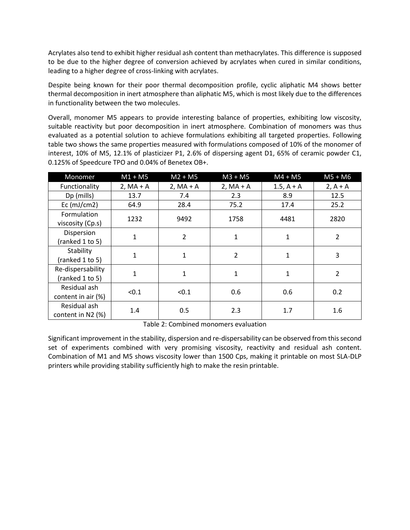Acrylates also tend to exhibit higher residual ash content than methacrylates. This difference is supposed to be due to the higher degree of conversion achieved by acrylates when cured in similar conditions, leading to a higher degree of cross-linking with acrylates.

Despite being known for their poor thermal decomposition profile, cyclic aliphatic M4 shows better thermal decomposition in inert atmosphere than aliphatic M5, which is most likely due to the differences in functionality between the two molecules.

Overall, monomer M5 appears to provide interesting balance of properties, exhibiting low viscosity, suitable reactivity but poor decomposition in inert atmosphere. Combination of monomers was thus evaluated as a potential solution to achieve formulations exhibiting all targeted properties. Following table two shows the same properties measured with formulations composed of 10% of the monomer of interest, 10% of M5, 12.1% of plasticizer P1, 2.6% of dispersing agent D1, 65% of ceramic powder C1, 0.125% of Speedcure TPO and 0.04% of Benetex OB+.

| Monomer                                | $M1 + M5$    | $M2 + M5$      | $M3 + M5$      | $M4 + M5$    | $M5 + M6$      |
|----------------------------------------|--------------|----------------|----------------|--------------|----------------|
| Functionality                          | $2, MA + A$  | $2, MA + A$    | $2, MA + A$    | $1.5, A + A$ | $2, A + A$     |
| Dp (mills)                             | 13.7         | 7.4            | 2.3            | 8.9          | 12.5           |
| Ec $(mJ/cm2)$                          | 64.9         | 28.4           | 75.2           | 17.4         | 25.2           |
| <b>Formulation</b><br>viscosity (Cp.s) | 1232         | 9492           | 1758           | 4481         | 2820           |
| Dispersion<br>(ranked 1 to 5)          | $\mathbf{1}$ | $\overline{2}$ | $\mathbf{1}$   | 1            | $\overline{2}$ |
| Stability<br>(ranked 1 to 5)           | $\mathbf{1}$ | 1              | $\overline{2}$ | 1            | 3              |
| Re-dispersability<br>(ranked 1 to 5)   | $\mathbf{1}$ | $\mathbf{1}$   | $\mathbf{1}$   | 1            | $\overline{2}$ |
| Residual ash<br>content in air (%)     | < 0.1        | < 0.1          | 0.6            | 0.6          | 0.2            |
| Residual ash<br>content in N2 (%)      | 1.4          | 0.5            | 2.3            | 1.7          | 1.6            |

Table 2: Combined monomers evaluation

Significant improvement in the stability, dispersion and re-dispersability can be observed from this second set of experiments combined with very promising viscosity, reactivity and residual ash content. Combination of M1 and M5 shows viscosity lower than 1500 Cps, making it printable on most SLA-DLP printers while providing stability sufficiently high to make the resin printable.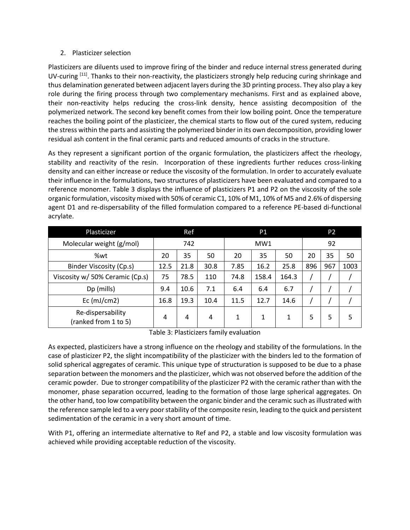## 2. Plasticizer selection

Plasticizers are diluents used to improve firing of the binder and reduce internal stress generated during UV-curing  $[11]$ . Thanks to their non-reactivity, the plasticizers strongly help reducing curing shrinkage and thus delamination generated between adjacent layers during the 3D printing process. They also play a key role during the firing process through two complementary mechanisms. First and as explained above, their non-reactivity helps reducing the cross-link density, hence assisting decomposition of the polymerized network. The second key benefit comes from their low boiling point. Once the temperature reaches the boiling point of the plasticizer, the chemical starts to flow out of the cured system, reducing the stress within the parts and assisting the polymerized binder in its own decomposition, providing lower residual ash content in the final ceramic parts and reduced amounts of cracks in the structure.

As they represent a significant portion of the organic formulation, the plasticizers affect the rheology, stability and reactivity of the resin. Incorporation of these ingredients further reduces cross-linking density and can either increase or reduce the viscosity of the formulation. In order to accurately evaluate their influence in the formulations, two structures of plasticizers have been evaluated and compared to a reference monomer. Table 3 displays the influence of plasticizers P1 and P2 on the viscosity of the sole organic formulation, viscosity mixed with 50% of ceramic C1, 10% of M1, 10% of M5 and 2.6% of dispersing agent D1 and re-dispersability of the filled formulation compared to a reference PE-based di-functional acrylate.

| Plasticizer                               | Ref  |      | P1   |      |       | P <sub>2</sub> |     |     |      |
|-------------------------------------------|------|------|------|------|-------|----------------|-----|-----|------|
| Molecular weight (g/mol)                  |      | 742  |      |      | MW1   |                |     | 92  |      |
| %wt                                       | 20   | 35   | 50   | 20   | 35    | 50             | 20  | 35  | 50   |
| <b>Binder Viscosity (Cp.s)</b>            | 12.5 | 21.8 | 30.8 | 7.85 | 16.2  | 25.8           | 896 | 967 | 1003 |
| Viscosity w/ 50% Ceramic (Cp.s)           | 75   | 78.5 | 110  | 74.8 | 158.4 | 164.3          |     |     |      |
| Dp (mills)                                | 9.4  | 10.6 | 7.1  | 6.4  | 6.4   | 6.7            |     |     |      |
| Ec $(mJ/cm2)$                             | 16.8 | 19.3 | 10.4 | 11.5 | 12.7  | 14.6           |     |     |      |
| Re-dispersability<br>(ranked from 1 to 5) | 4    | 4    | 4    | 1    | 1     | 1              | 5   | 5   |      |

Table 3: Plasticizers family evaluation

As expected, plasticizers have a strong influence on the rheology and stability of the formulations. In the case of plasticizer P2, the slight incompatibility of the plasticizer with the binders led to the formation of solid spherical aggregates of ceramic. This unique type of structuration is supposed to be due to a phase separation between the monomers and the plasticizer, which was not observed before the addition of the ceramic powder. Due to stronger compatibility of the plasticizer P2 with the ceramic rather than with the monomer, phase separation occurred, leading to the formation of those large spherical aggregates. On the other hand, too low compatibility between the organic binder and the ceramic such as illustrated with the reference sample led to a very poor stability of the composite resin, leading to the quick and persistent sedimentation of the ceramic in a very short amount of time.

With P1, offering an intermediate alternative to Ref and P2, a stable and low viscosity formulation was achieved while providing acceptable reduction of the viscosity.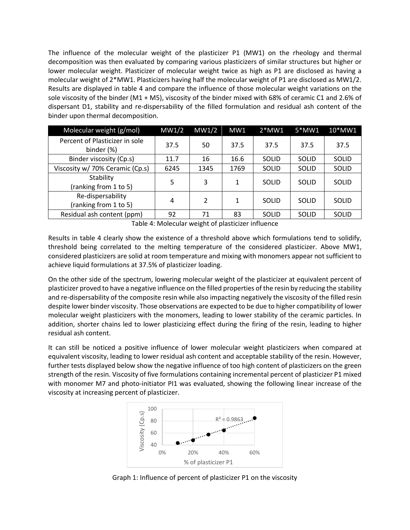The influence of the molecular weight of the plasticizer P1 (MW1) on the rheology and thermal decomposition was then evaluated by comparing various plasticizers of similar structures but higher or lower molecular weight. Plasticizer of molecular weight twice as high as P1 are disclosed as having a molecular weight of 2\*MW1. Plasticizers having half the molecular weight of P1 are disclosed as MW1/2. Results are displayed in table 4 and compare the influence of those molecular weight variations on the sole viscosity of the binder (M1 + M5), viscosity of the binder mixed with 68% of ceramic C1 and 2.6% of dispersant D1, stability and re-dispersability of the filled formulation and residual ash content of the binder upon thermal decomposition.

| Molecular weight (g/mol)                     | MW1/2 | MW1/2         | MW1  | $2*MW1$ | $5*MW1$      | 10*MW1       |
|----------------------------------------------|-------|---------------|------|---------|--------------|--------------|
| Percent of Plasticizer in sole<br>binder (%) | 37.5  | 50            | 37.5 | 37.5    | 37.5         | 37.5         |
| Binder viscosity (Cp.s)                      | 11.7  | 16            | 16.6 | SOLID   | <b>SOLID</b> | SOLID        |
| Viscosity w/ 70% Ceramic (Cp.s)              | 6245  | 1345          | 1769 | SOLID   | <b>SOLID</b> | SOLID        |
| Stability<br>(ranking from 1 to 5)           | 5     | 3             | 1    | SOLID   | <b>SOLID</b> | <b>SOLID</b> |
| Re-dispersability<br>(ranking from 1 to 5)   | 4     | $\mathcal{P}$ | 1    | SOLID   | <b>SOLID</b> | <b>SOLID</b> |
| Residual ash content (ppm)                   | 92    | 71            | 83   | SOLID   | <b>SOLID</b> | SOLID        |

Table 4: Molecular weight of plasticizer influence

Results in table 4 clearly show the existence of a threshold above which formulations tend to solidify, threshold being correlated to the melting temperature of the considered plasticizer. Above MW1, considered plasticizers are solid at room temperature and mixing with monomers appear not sufficient to achieve liquid formulations at 37.5% of plasticizer loading.

On the other side of the spectrum, lowering molecular weight of the plasticizer at equivalent percent of plasticizer proved to have a negative influence on the filled properties of the resin by reducing the stability and re-dispersability of the composite resin while also impacting negatively the viscosity of the filled resin despite lower binder viscosity. Those observations are expected to be due to higher compatibility of lower molecular weight plasticizers with the monomers, leading to lower stability of the ceramic particles. In addition, shorter chains led to lower plasticizing effect during the firing of the resin, leading to higher residual ash content.

It can still be noticed a positive influence of lower molecular weight plasticizers when compared at equivalent viscosity, leading to lower residual ash content and acceptable stability of the resin. However, further tests displayed below show the negative influence of too high content of plasticizers on the green strength of the resin. Viscosity of five formulations containing incremental percent of plasticizer P1 mixed with monomer M7 and photo-initiator PI1 was evaluated, showing the following linear increase of the viscosity at increasing percent of plasticizer.



Graph 1: Influence of percent of plasticizer P1 on the viscosity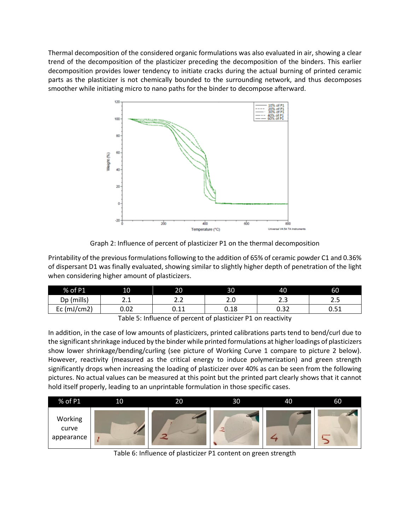Thermal decomposition of the considered organic formulations was also evaluated in air, showing a clear trend of the decomposition of the plasticizer preceding the decomposition of the binders. This earlier decomposition provides lower tendency to initiate cracks during the actual burning of printed ceramic parts as the plasticizer is not chemically bounded to the surrounding network, and thus decomposes smoother while initiating micro to nano paths for the binder to decompose afterward.



Graph 2: Influence of percent of plasticizer P1 on the thermal decomposition

Printability of the previous formulations following to the addition of 65% of ceramic powder C1 and 0.36% of dispersant D1 was finally evaluated, showing similar to slightly higher depth of penetration of the light when considering higher amount of plasticizers.

| % of P1        | 10            | 20           | 30                 | 40        | 60           |
|----------------|---------------|--------------|--------------------|-----------|--------------|
| (mills)<br>Dp  | <u>.</u>      | ے .          | z.u                | າາ<br>د.ء | ر . ے        |
| (mJ/cm2)<br>Ec | 0.02          | ∩ 11<br>∪.⊥⊥ | 0.18               | 0.32      | n 51<br>U.JI |
|                | $  -$<br>$ -$ |              | .<br>$\sim$ $\sim$ |           |              |

Table 5: Influence of percent of plasticizer P1 on reactivity

In addition, in the case of low amounts of plasticizers, printed calibrations parts tend to bend/curl due to the significant shrinkage induced by the binder while printed formulations at higher loadings of plasticizers show lower shrinkage/bending/curling (see picture of Working Curve 1 compare to picture 2 below). However, reactivity (measured as the critical energy to induce polymerization) and green strength significantly drops when increasing the loading of plasticizer over 40% as can be seen from the following pictures. No actual values can be measured at this point but the printed part clearly shows that it cannot hold itself properly, leading to an unprintable formulation in those specific cases.



Table 6: Influence of plasticizer P1 content on green strength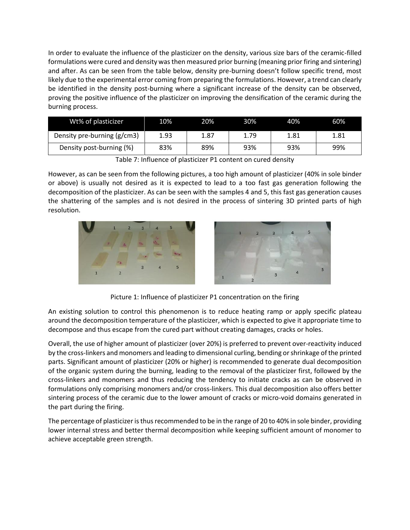In order to evaluate the influence of the plasticizer on the density, various size bars of the ceramic-filled formulations were cured and density was then measured prior burning (meaning prior firing and sintering) and after. As can be seen from the table below, density pre-burning doesn't follow specific trend, most likely due to the experimental error coming from preparing the formulations. However, a trend can clearly be identified in the density post-burning where a significant increase of the density can be observed, proving the positive influence of the plasticizer on improving the densification of the ceramic during the burning process.

| Wt% of plasticizer          | 10%  | 20%  | 30%  | 40%  | 60%  |
|-----------------------------|------|------|------|------|------|
| Density pre-burning (g/cm3) | 1.93 | 1.87 | 1.79 | 1.81 | 1.81 |
| Density post-burning (%)    | 83%  | 89%  | 93%  | 93%  | 99%  |

Table 7: Influence of plasticizer P1 content on cured density

However, as can be seen from the following pictures, a too high amount of plasticizer (40% in sole binder or above) is usually not desired as it is expected to lead to a too fast gas generation following the decomposition of the plasticizer. As can be seen with the samples 4 and 5, this fast gas generation causes the shattering of the samples and is not desired in the process of sintering 3D printed parts of high resolution.



Picture 1: Influence of plasticizer P1 concentration on the firing

An existing solution to control this phenomenon is to reduce heating ramp or apply specific plateau around the decomposition temperature of the plasticizer, which is expected to give it appropriate time to decompose and thus escape from the cured part without creating damages, cracks or holes.

Overall, the use of higher amount of plasticizer (over 20%) is preferred to prevent over-reactivity induced by the cross-linkers and monomers and leading to dimensional curling, bending or shrinkage of the printed parts. Significant amount of plasticizer (20% or higher) is recommended to generate dual decomposition of the organic system during the burning, leading to the removal of the plasticizer first, followed by the cross-linkers and monomers and thus reducing the tendency to initiate cracks as can be observed in formulations only comprising monomers and/or cross-linkers. This dual decomposition also offers better sintering process of the ceramic due to the lower amount of cracks or micro-void domains generated in the part during the firing.

The percentage of plasticizer is thus recommended to be in the range of 20 to 40% in sole binder, providing lower internal stress and better thermal decomposition while keeping sufficient amount of monomer to achieve acceptable green strength.